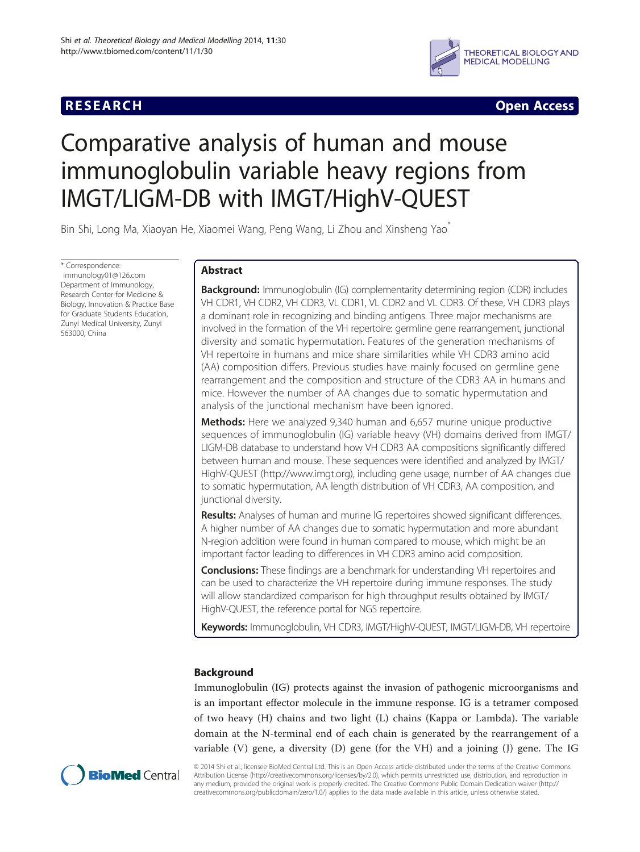## **RESEARCH CHINESE ARCH CHINESE ARCH CHINESE ARCH**



# Comparative analysis of human and mouse immunoglobulin variable heavy regions from IMGT/LIGM-DB with IMGT/HighV-QUEST

Bin Shi, Long Ma, Xiaoyan He, Xiaomei Wang, Peng Wang, Li Zhou and Xinsheng Yao<sup>\*</sup>

\* Correspondence: [immunology01@126.com](mailto:immunology01@126.com) Department of Immunology, Research Center for Medicine & Biology, Innovation & Practice Base for Graduate Students Education, Zunyi Medical University, Zunyi 563000, China

## Abstract

**Background:** Immunoglobulin (IG) complementarity determining region (CDR) includes VH CDR1, VH CDR2, VH CDR3, VL CDR1, VL CDR2 and VL CDR3. Of these, VH CDR3 plays a dominant role in recognizing and binding antigens. Three major mechanisms are involved in the formation of the VH repertoire: germline gene rearrangement, junctional diversity and somatic hypermutation. Features of the generation mechanisms of VH repertoire in humans and mice share similarities while VH CDR3 amino acid (AA) composition differs. Previous studies have mainly focused on germline gene rearrangement and the composition and structure of the CDR3 AA in humans and mice. However the number of AA changes due to somatic hypermutation and analysis of the junctional mechanism have been ignored.

Methods: Here we analyzed 9,340 human and 6,657 murine unique productive sequences of immunoglobulin (IG) variable heavy (VH) domains derived from IMGT/ LIGM-DB database to understand how VH CDR3 AA compositions significantly differed between human and mouse. These sequences were identified and analyzed by IMGT/ HighV-QUEST [\(http://www.imgt.org\)](http://www.imgt.org), including gene usage, number of AA changes due to somatic hypermutation, AA length distribution of VH CDR3, AA composition, and junctional diversity.

**Results:** Analyses of human and murine IG repertoires showed significant differences. A higher number of AA changes due to somatic hypermutation and more abundant N-region addition were found in human compared to mouse, which might be an important factor leading to differences in VH CDR3 amino acid composition.

**Conclusions:** These findings are a benchmark for understanding VH repertoires and can be used to characterize the VH repertoire during immune responses. The study will allow standardized comparison for high throughput results obtained by IMGT/ HighV-QUEST, the reference portal for NGS repertoire.

Keywords: Immunoglobulin, VH CDR3, IMGT/HighV-QUEST, IMGT/LIGM-DB, VH repertoire

## Background

Immunoglobulin (IG) protects against the invasion of pathogenic microorganisms and is an important effector molecule in the immune response. IG is a tetramer composed of two heavy (H) chains and two light (L) chains (Kappa or Lambda). The variable domain at the N-terminal end of each chain is generated by the rearrangement of a variable (V) gene, a diversity (D) gene (for the VH) and a joining (J) gene. The IG



© 2014 Shi et al.; licensee BioMed Central Ltd. This is an Open Access article distributed under the terms of the Creative Commons Attribution License (<http://creativecommons.org/licenses/by/2.0>), which permits unrestricted use, distribution, and reproduction in any medium, provided the original work is properly credited. The Creative Commons Public Domain Dedication waiver [\(http://](http://creativecommons.org/publicdomain/zero/1.0/) [creativecommons.org/publicdomain/zero/1.0/\)](http://creativecommons.org/publicdomain/zero/1.0/) applies to the data made available in this article, unless otherwise stated.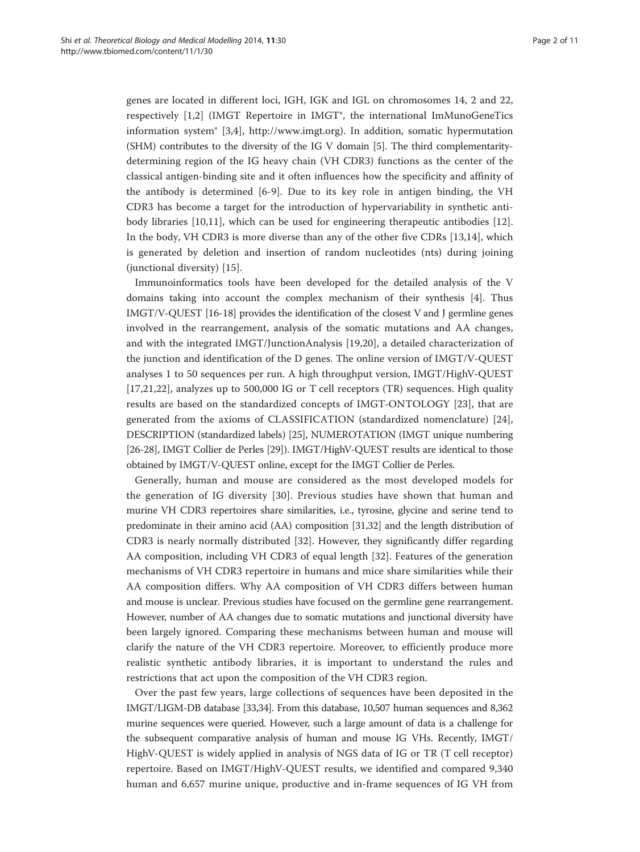genes are located in different loci, IGH, IGK and IGL on chromosomes 14, 2 and 22, respectively [\[1,2](#page-9-0)] (IMGT Repertoire in IMGT®, the international ImMunoGeneTics information system® [[3,4](#page-9-0)], [http://www.imgt.org\)](http://www.imgt.org). In addition, somatic hypermutation (SHM) contributes to the diversity of the IG V domain [\[5](#page-9-0)]. The third complementaritydetermining region of the IG heavy chain (VH CDR3) functions as the center of the classical antigen-binding site and it often influences how the specificity and affinity of the antibody is determined [[6-9](#page-9-0)]. Due to its key role in antigen binding, the VH CDR3 has become a target for the introduction of hypervariability in synthetic antibody libraries [[10,11\]](#page-9-0), which can be used for engineering therapeutic antibodies [\[12](#page-9-0)]. In the body, VH CDR3 is more diverse than any of the other five CDRs [[13](#page-9-0)[,14](#page-10-0)], which is generated by deletion and insertion of random nucleotides (nts) during joining (junctional diversity) [[15](#page-10-0)].

Immunoinformatics tools have been developed for the detailed analysis of the V domains taking into account the complex mechanism of their synthesis [\[4](#page-9-0)]. Thus IMGT/V-QUEST [\[16-18\]](#page-10-0) provides the identification of the closest V and J germline genes involved in the rearrangement, analysis of the somatic mutations and AA changes, and with the integrated IMGT/JunctionAnalysis [\[19,20\]](#page-10-0), a detailed characterization of the junction and identification of the D genes. The online version of IMGT/V-QUEST analyses 1 to 50 sequences per run. A high throughput version, IMGT/HighV-QUEST [[17,21,22](#page-10-0)], analyzes up to 500,000 IG or T cell receptors (TR) sequences. High quality results are based on the standardized concepts of IMGT-ONTOLOGY [[23\]](#page-10-0), that are generated from the axioms of CLASSIFICATION (standardized nomenclature) [\[24](#page-10-0)], DESCRIPTION (standardized labels) [[25](#page-10-0)], NUMEROTATION (IMGT unique numbering [[26](#page-10-0)-[28](#page-10-0)], IMGT Collier de Perles [\[29](#page-10-0)]). IMGT/HighV-QUEST results are identical to those obtained by IMGT/V-QUEST online, except for the IMGT Collier de Perles.

Generally, human and mouse are considered as the most developed models for the generation of IG diversity [[30\]](#page-10-0). Previous studies have shown that human and murine VH CDR3 repertoires share similarities, i.e., tyrosine, glycine and serine tend to predominate in their amino acid (AA) composition [[31,32](#page-10-0)] and the length distribution of CDR3 is nearly normally distributed [\[32](#page-10-0)]. However, they significantly differ regarding AA composition, including VH CDR3 of equal length [[32](#page-10-0)]. Features of the generation mechanisms of VH CDR3 repertoire in humans and mice share similarities while their AA composition differs. Why AA composition of VH CDR3 differs between human and mouse is unclear. Previous studies have focused on the germline gene rearrangement. However, number of AA changes due to somatic mutations and junctional diversity have been largely ignored. Comparing these mechanisms between human and mouse will clarify the nature of the VH CDR3 repertoire. Moreover, to efficiently produce more realistic synthetic antibody libraries, it is important to understand the rules and restrictions that act upon the composition of the VH CDR3 region.

Over the past few years, large collections of sequences have been deposited in the IMGT/LIGM-DB database [\[33,34](#page-10-0)]. From this database, 10,507 human sequences and 8,362 murine sequences were queried. However, such a large amount of data is a challenge for the subsequent comparative analysis of human and mouse IG VHs. Recently, IMGT/ HighV-QUEST is widely applied in analysis of NGS data of IG or TR (T cell receptor) repertoire. Based on IMGT/HighV-QUEST results, we identified and compared 9,340 human and 6,657 murine unique, productive and in-frame sequences of IG VH from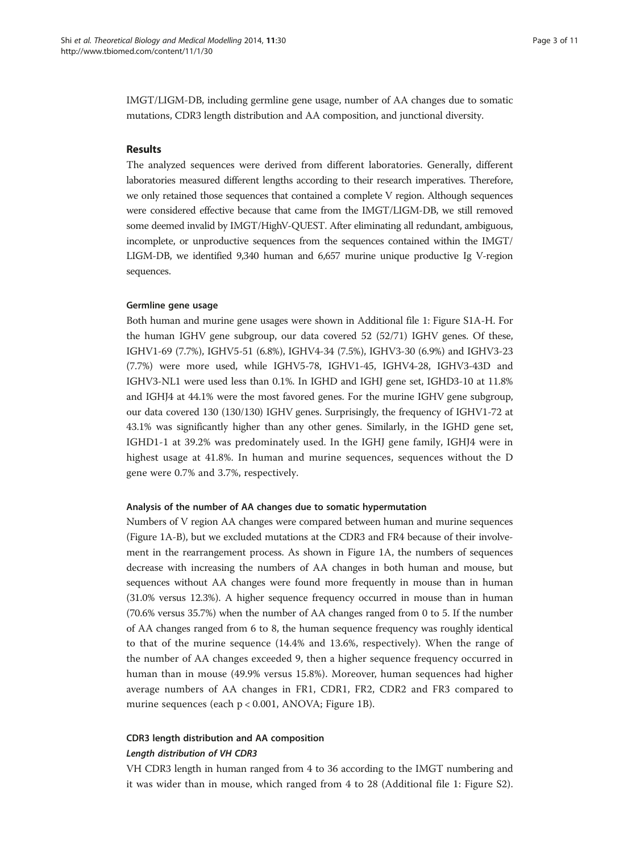IMGT/LIGM-DB, including germline gene usage, number of AA changes due to somatic mutations, CDR3 length distribution and AA composition, and junctional diversity.

#### Results

The analyzed sequences were derived from different laboratories. Generally, different laboratories measured different lengths according to their research imperatives. Therefore, we only retained those sequences that contained a complete V region. Although sequences were considered effective because that came from the IMGT/LIGM-DB, we still removed some deemed invalid by IMGT/HighV-QUEST. After eliminating all redundant, ambiguous, incomplete, or unproductive sequences from the sequences contained within the IMGT/ LIGM-DB, we identified 9,340 human and 6,657 murine unique productive Ig V-region sequences.

#### Germline gene usage

Both human and murine gene usages were shown in Additional file [1](#page-9-0): Figure S1A-H. For the human IGHV gene subgroup, our data covered 52 (52/71) IGHV genes. Of these, IGHV1-69 (7.7%), IGHV5-51 (6.8%), IGHV4-34 (7.5%), IGHV3-30 (6.9%) and IGHV3-23 (7.7%) were more used, while IGHV5-78, IGHV1-45, IGHV4-28, IGHV3-43D and IGHV3-NL1 were used less than 0.1%. In IGHD and IGHJ gene set, IGHD3-10 at 11.8% and IGHJ4 at 44.1% were the most favored genes. For the murine IGHV gene subgroup, our data covered 130 (130/130) IGHV genes. Surprisingly, the frequency of IGHV1-72 at 43.1% was significantly higher than any other genes. Similarly, in the IGHD gene set, IGHD1-1 at 39.2% was predominately used. In the IGHJ gene family, IGHJ4 were in highest usage at 41.8%. In human and murine sequences, sequences without the D gene were 0.7% and 3.7%, respectively.

#### Analysis of the number of AA changes due to somatic hypermutation

Numbers of V region AA changes were compared between human and murine sequences (Figure [1A](#page-3-0)-B), but we excluded mutations at the CDR3 and FR4 because of their involvement in the rearrangement process. As shown in Figure [1](#page-3-0)A, the numbers of sequences decrease with increasing the numbers of AA changes in both human and mouse, but sequences without AA changes were found more frequently in mouse than in human (31.0% versus 12.3%). A higher sequence frequency occurred in mouse than in human (70.6% versus 35.7%) when the number of AA changes ranged from 0 to 5. If the number of AA changes ranged from 6 to 8, the human sequence frequency was roughly identical to that of the murine sequence (14.4% and 13.6%, respectively). When the range of the number of AA changes exceeded 9, then a higher sequence frequency occurred in human than in mouse (49.9% versus 15.8%). Moreover, human sequences had higher average numbers of AA changes in FR1, CDR1, FR2, CDR2 and FR3 compared to murine sequences (each p < 0.001, ANOVA; Figure [1B](#page-3-0)).

## CDR3 length distribution and AA composition Length distribution of VH CDR3

VH CDR3 length in human ranged from 4 to 36 according to the IMGT numbering and it was wider than in mouse, which ranged from 4 to 28 (Additional file [1:](#page-9-0) Figure S2).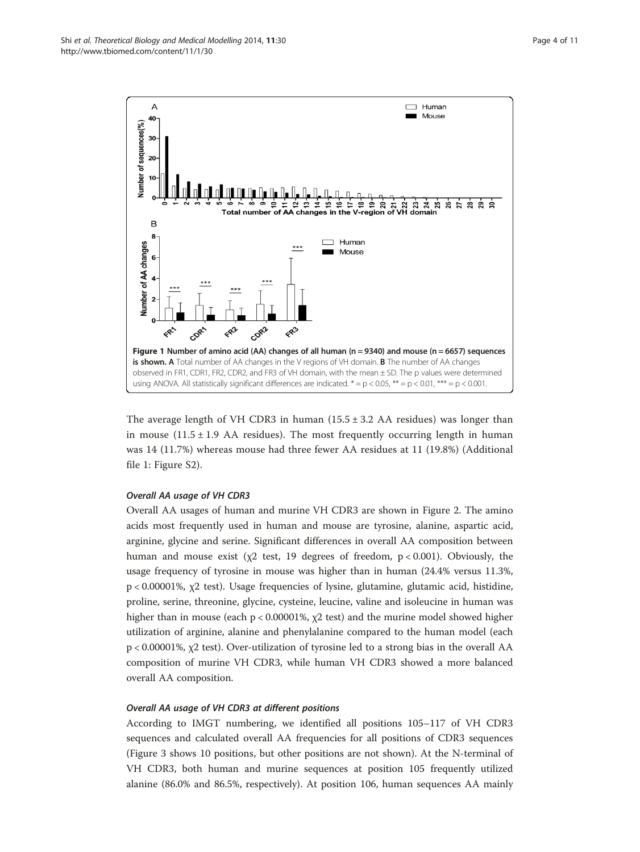<span id="page-3-0"></span>

The average length of VH CDR3 in human  $(15.5 \pm 3.2 \text{ AA} \text{ residues})$  was longer than in mouse  $(11.5 \pm 1.9 \text{ AA} \text{ residues})$ . The most frequently occurring length in human was 14 (11.7%) whereas mouse had three fewer AA residues at 11 (19.8%) (Additional file [1](#page-9-0): Figure S2).

### Overall AA usage of VH CDR3

Overall AA usages of human and murine VH CDR3 are shown in Figure [2](#page-4-0). The amino acids most frequently used in human and mouse are tyrosine, alanine, aspartic acid, arginine, glycine and serine. Significant differences in overall AA composition between human and mouse exist ( $\chi$ 2 test, 19 degrees of freedom,  $p < 0.001$ ). Obviously, the usage frequency of tyrosine in mouse was higher than in human (24.4% versus 11.3%, p < 0.00001%, χ2 test). Usage frequencies of lysine, glutamine, glutamic acid, histidine, proline, serine, threonine, glycine, cysteine, leucine, valine and isoleucine in human was higher than in mouse (each  $p < 0.00001\%$ ,  $\chi$ 2 test) and the murine model showed higher utilization of arginine, alanine and phenylalanine compared to the human model (each p < 0.00001%, χ2 test). Over-utilization of tyrosine led to a strong bias in the overall AA composition of murine VH CDR3, while human VH CDR3 showed a more balanced overall AA composition.

### Overall AA usage of VH CDR3 at different positions

According to IMGT numbering, we identified all positions 105–117 of VH CDR3 sequences and calculated overall AA frequencies for all positions of CDR3 sequences (Figure [3](#page-4-0) shows 10 positions, but other positions are not shown). At the N-terminal of VH CDR3, both human and murine sequences at position 105 frequently utilized alanine (86.0% and 86.5%, respectively). At position 106, human sequences AA mainly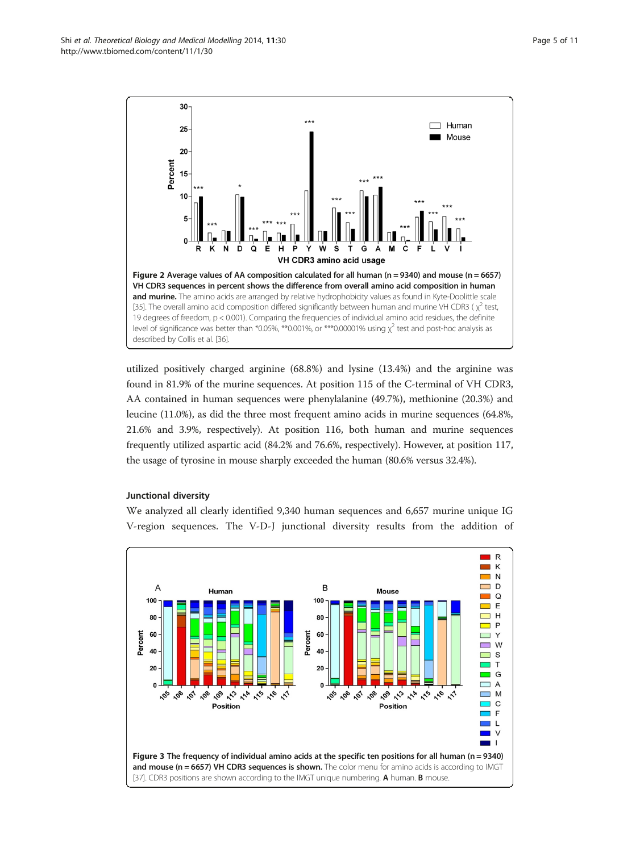<span id="page-4-0"></span>Shi et al. Theoretical Biology and Medical Modelling 2014, 11:30 Page 5 of 11 http://www.tbiomed.com/content/11/1/30



utilized positively charged arginine (68.8%) and lysine (13.4%) and the arginine was found in 81.9% of the murine sequences. At position 115 of the C-terminal of VH CDR3, AA contained in human sequences were phenylalanine (49.7%), methionine (20.3%) and leucine (11.0%), as did the three most frequent amino acids in murine sequences (64.8%, 21.6% and 3.9%, respectively). At position 116, both human and murine sequences frequently utilized aspartic acid (84.2% and 76.6%, respectively). However, at position 117, the usage of tyrosine in mouse sharply exceeded the human (80.6% versus 32.4%).

### Junctional diversity

We analyzed all clearly identified 9,340 human sequences and 6,657 murine unique IG V-region sequences. The V-D-J junctional diversity results from the addition of

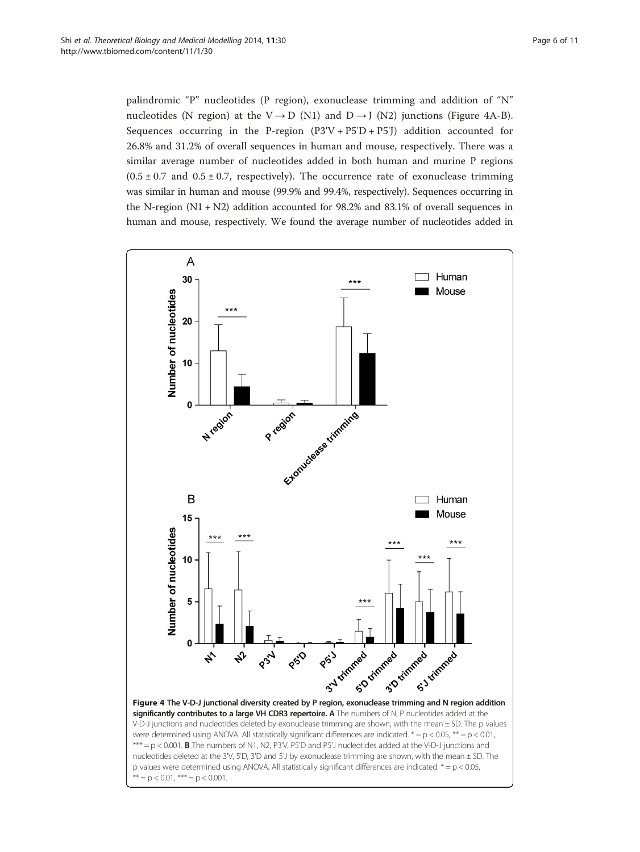<span id="page-5-0"></span>palindromic "P" nucleotides (P region), exonuclease trimming and addition of "N" nucleotides (N region) at the V  $\rightarrow$  D (N1) and D  $\rightarrow$  J (N2) junctions (Figure 4A-B). Sequences occurring in the P-region  $(P3'V + P5'D + P5')$  addition accounted for 26.8% and 31.2% of overall sequences in human and mouse, respectively. There was a similar average number of nucleotides added in both human and murine P regions  $(0.5 \pm 0.7 \text{ and } 0.5 \pm 0.7 \text{, respectively})$ . The occurrence rate of exonuclease trimming was similar in human and mouse (99.9% and 99.4%, respectively). Sequences occurring in the N-region (N1 + N2) addition accounted for 98.2% and 83.1% of overall sequences in human and mouse, respectively. We found the average number of nucleotides added in

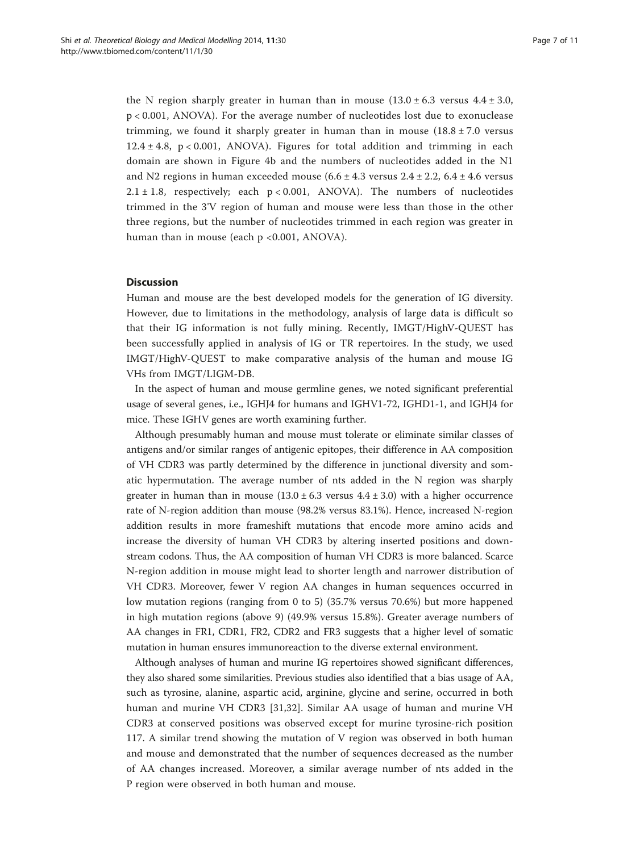the N region sharply greater in human than in mouse  $(13.0 \pm 6.3 \text{ versus } 4.4 \pm 3.0,$ p < 0.001, ANOVA). For the average number of nucleotides lost due to exonuclease trimming, we found it sharply greater in human than in mouse  $(18.8 \pm 7.0 \text{ versus})$  $12.4 \pm 4.8$ , p < 0.001, ANOVA). Figures for total addition and trimming in each domain are shown in Figure [4b](#page-5-0) and the numbers of nucleotides added in the N1 and N2 regions in human exceeded mouse  $(6.6 \pm 4.3 \text{ versus } 2.4 \pm 2.2, 6.4 \pm 4.6 \text{ versus }$ 2.1  $\pm$  1.8, respectively; each p < 0.001, ANOVA). The numbers of nucleotides trimmed in the 3'V region of human and mouse were less than those in the other three regions, but the number of nucleotides trimmed in each region was greater in human than in mouse (each p <0.001, ANOVA).

### **Discussion**

Human and mouse are the best developed models for the generation of IG diversity. However, due to limitations in the methodology, analysis of large data is difficult so that their IG information is not fully mining. Recently, IMGT/HighV-QUEST has been successfully applied in analysis of IG or TR repertoires. In the study, we used IMGT/HighV-QUEST to make comparative analysis of the human and mouse IG VHs from IMGT/LIGM-DB.

In the aspect of human and mouse germline genes, we noted significant preferential usage of several genes, i.e., IGHJ4 for humans and IGHV1-72, IGHD1-1, and IGHJ4 for mice. These IGHV genes are worth examining further.

Although presumably human and mouse must tolerate or eliminate similar classes of antigens and/or similar ranges of antigenic epitopes, their difference in AA composition of VH CDR3 was partly determined by the difference in junctional diversity and somatic hypermutation. The average number of nts added in the N region was sharply greater in human than in mouse  $(13.0 \pm 6.3 \text{ versus } 4.4 \pm 3.0)$  with a higher occurrence rate of N-region addition than mouse (98.2% versus 83.1%). Hence, increased N-region addition results in more frameshift mutations that encode more amino acids and increase the diversity of human VH CDR3 by altering inserted positions and downstream codons. Thus, the AA composition of human VH CDR3 is more balanced. Scarce N-region addition in mouse might lead to shorter length and narrower distribution of VH CDR3. Moreover, fewer V region AA changes in human sequences occurred in low mutation regions (ranging from 0 to 5) (35.7% versus 70.6%) but more happened in high mutation regions (above 9) (49.9% versus 15.8%). Greater average numbers of AA changes in FR1, CDR1, FR2, CDR2 and FR3 suggests that a higher level of somatic mutation in human ensures immunoreaction to the diverse external environment.

Although analyses of human and murine IG repertoires showed significant differences, they also shared some similarities. Previous studies also identified that a bias usage of AA, such as tyrosine, alanine, aspartic acid, arginine, glycine and serine, occurred in both human and murine VH CDR3 [\[31](#page-10-0),[32\]](#page-10-0). Similar AA usage of human and murine VH CDR3 at conserved positions was observed except for murine tyrosine-rich position 117. A similar trend showing the mutation of V region was observed in both human and mouse and demonstrated that the number of sequences decreased as the number of AA changes increased. Moreover, a similar average number of nts added in the P region were observed in both human and mouse.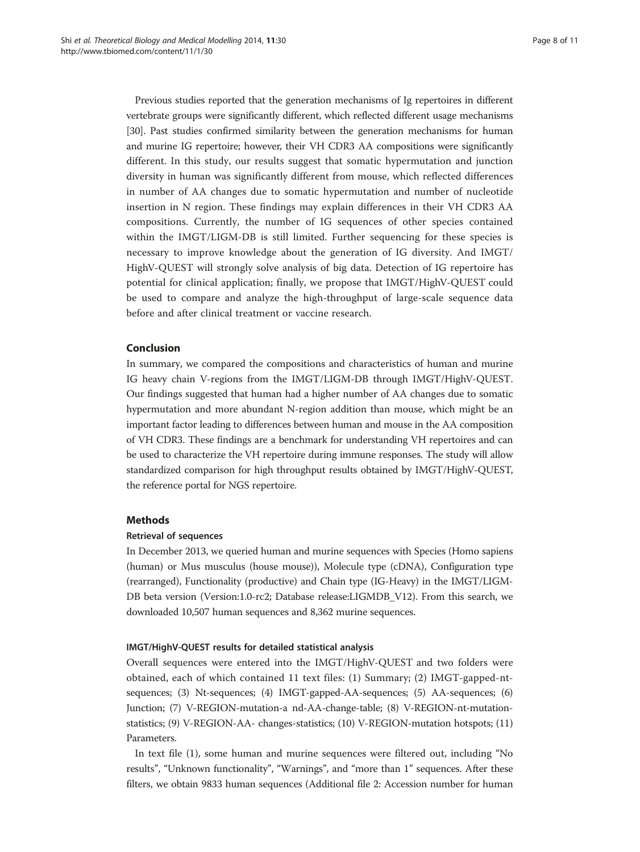Previous studies reported that the generation mechanisms of Ig repertoires in different vertebrate groups were significantly different, which reflected different usage mechanisms [[30](#page-10-0)]. Past studies confirmed similarity between the generation mechanisms for human and murine IG repertoire; however, their VH CDR3 AA compositions were significantly different. In this study, our results suggest that somatic hypermutation and junction diversity in human was significantly different from mouse, which reflected differences in number of AA changes due to somatic hypermutation and number of nucleotide insertion in N region. These findings may explain differences in their VH CDR3 AA compositions. Currently, the number of IG sequences of other species contained within the IMGT/LIGM-DB is still limited. Further sequencing for these species is necessary to improve knowledge about the generation of IG diversity. And IMGT/ HighV-QUEST will strongly solve analysis of big data. Detection of IG repertoire has potential for clinical application; finally, we propose that IMGT/HighV-QUEST could be used to compare and analyze the high-throughput of large-scale sequence data before and after clinical treatment or vaccine research.

## Conclusion

In summary, we compared the compositions and characteristics of human and murine IG heavy chain V-regions from the IMGT/LIGM-DB through IMGT/HighV-QUEST. Our findings suggested that human had a higher number of AA changes due to somatic hypermutation and more abundant N-region addition than mouse, which might be an important factor leading to differences between human and mouse in the AA composition of VH CDR3. These findings are a benchmark for understanding VH repertoires and can be used to characterize the VH repertoire during immune responses. The study will allow standardized comparison for high throughput results obtained by IMGT/HighV-QUEST, the reference portal for NGS repertoire.

#### Methods

#### Retrieval of sequences

In December 2013, we queried human and murine sequences with Species (Homo sapiens (human) or Mus musculus (house mouse)), Molecule type (cDNA), Configuration type (rearranged), Functionality (productive) and Chain type (IG-Heavy) in the IMGT/LIGM-DB beta version (Version:1.0-rc2; Database release:LIGMDB\_V12). From this search, we downloaded 10,507 human sequences and 8,362 murine sequences.

#### IMGT/HighV-QUEST results for detailed statistical analysis

Overall sequences were entered into the IMGT/HighV-QUEST and two folders were obtained, each of which contained 11 text files: (1) Summary; (2) IMGT-gapped-ntsequences; (3) Nt-sequences; (4) IMGT-gapped-AA-sequences; (5) AA-sequences; (6) Junction; (7) V-REGION-mutation-a nd-AA-change-table; (8) V-REGION-nt-mutationstatistics; (9) V-REGION-AA- changes-statistics; (10) V-REGION-mutation hotspots; (11) Parameters.

In text file (1), some human and murine sequences were filtered out, including "No results", "Unknown functionality", "Warnings", and "more than 1" sequences. After these filters, we obtain 9833 human sequences (Additional file [2](#page-9-0): Accession number for human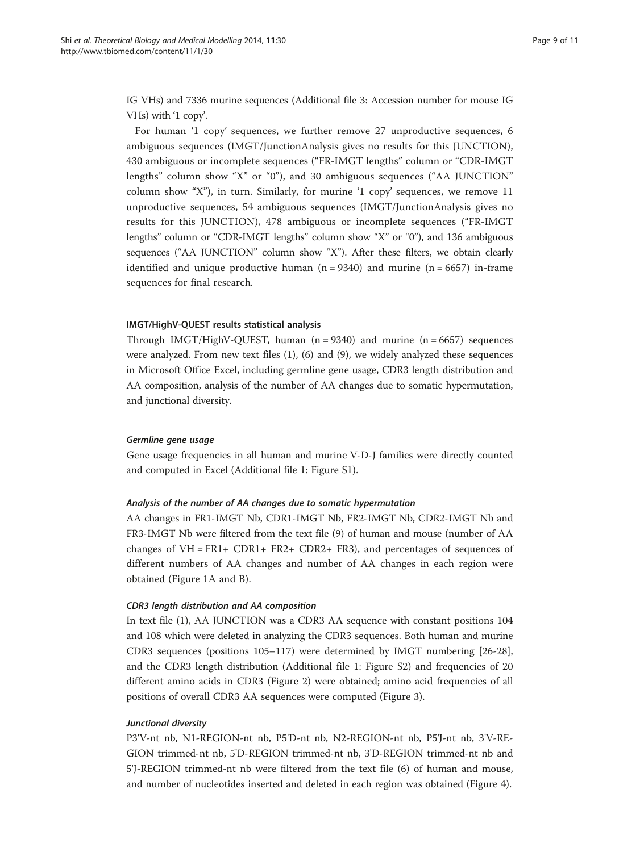IG VHs) and 7336 murine sequences (Additional file [3](#page-9-0): Accession number for mouse IG VHs) with '1 copy'.

For human '1 copy' sequences, we further remove 27 unproductive sequences, 6 ambiguous sequences (IMGT/JunctionAnalysis gives no results for this JUNCTION), 430 ambiguous or incomplete sequences ("FR-IMGT lengths" column or "CDR-IMGT lengths" column show "X" or "0"), and 30 ambiguous sequences ("AA JUNCTION" column show "X"), in turn. Similarly, for murine '1 copy' sequences, we remove 11 unproductive sequences, 54 ambiguous sequences (IMGT/JunctionAnalysis gives no results for this JUNCTION), 478 ambiguous or incomplete sequences ("FR-IMGT lengths" column or "CDR-IMGT lengths" column show "X" or "0"), and 136 ambiguous sequences ("AA JUNCTION" column show "X"). After these filters, we obtain clearly identified and unique productive human  $(n = 9340)$  and murine  $(n = 6657)$  in-frame sequences for final research.

#### IMGT/HighV-QUEST results statistical analysis

Through IMGT/HighV-QUEST, human  $(n = 9340)$  and murine  $(n = 6657)$  sequences were analyzed. From new text files (1), (6) and (9), we widely analyzed these sequences in Microsoft Office Excel, including germline gene usage, CDR3 length distribution and AA composition, analysis of the number of AA changes due to somatic hypermutation, and junctional diversity.

#### Germline gene usage

Gene usage frequencies in all human and murine V-D-J families were directly counted and computed in Excel (Additional file [1](#page-9-0): Figure S1).

### Analysis of the number of AA changes due to somatic hypermutation

AA changes in FR1-IMGT Nb, CDR1-IMGT Nb, FR2-IMGT Nb, CDR2-IMGT Nb and FR3-IMGT Nb were filtered from the text file (9) of human and mouse (number of AA changes of VH = FR1+ CDR1+ FR2+ CDR2+ FR3), and percentages of sequences of different numbers of AA changes and number of AA changes in each region were obtained (Figure [1](#page-3-0)A and B).

#### CDR3 length distribution and AA composition

In text file (1), AA JUNCTION was a CDR3 AA sequence with constant positions 104 and 108 which were deleted in analyzing the CDR3 sequences. Both human and murine CDR3 sequences (positions 105–117) were determined by IMGT numbering [\[26-28](#page-10-0)], and the CDR3 length distribution (Additional file [1](#page-9-0): Figure S2) and frequencies of 20 different amino acids in CDR3 (Figure [2](#page-4-0)) were obtained; amino acid frequencies of all positions of overall CDR3 AA sequences were computed (Figure [3](#page-4-0)).

#### Junctional diversity

P3'V-nt nb, N1-REGION-nt nb, P5'D-nt nb, N2-REGION-nt nb, P5'J-nt nb, 3'V-RE-GION trimmed-nt nb, 5'D-REGION trimmed-nt nb, 3'D-REGION trimmed-nt nb and 5'J-REGION trimmed-nt nb were filtered from the text file (6) of human and mouse, and number of nucleotides inserted and deleted in each region was obtained (Figure [4](#page-5-0)).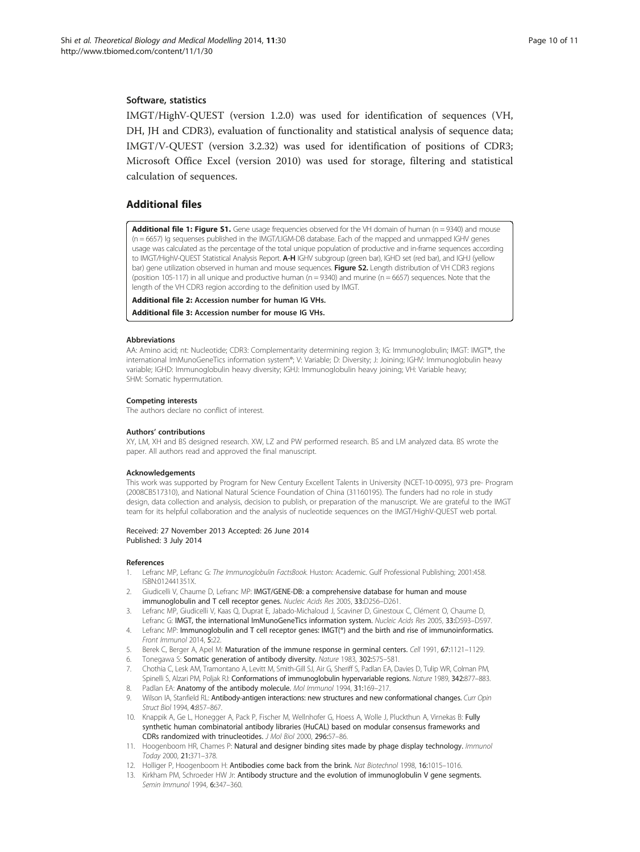#### <span id="page-9-0"></span>Software, statistics

IMGT/HighV-QUEST (version 1.2.0) was used for identification of sequences (VH, DH, JH and CDR3), evaluation of functionality and statistical analysis of sequence data; IMGT/V-QUEST (version 3.2.32) was used for identification of positions of CDR3; Microsoft Office Excel (version 2010) was used for storage, filtering and statistical calculation of sequences.

## Additional files

[Additional file 1: Figure S1.](http://www.biomedcentral.com/content/supplementary/1742-4682-11-30-S1.docx) Gene usage frequencies observed for the VH domain of human (n = 9340) and mouse (n = 6657) Ig sequenses published in the IMGT/LIGM-DB database. Each of the mapped and unmapped IGHV genes usage was calculated as the percentage of the total unique population of productive and in-frame sequences according to IMGT/HighV-QUEST Statistical Analysis Report. A-H IGHV subgroup (green bar), IGHD set (red bar), and IGHJ (yellow bar) gene utilization observed in human and mouse sequences. Figure S2. Length distribution of VH CDR3 regions (position 105-117) in all unique and productive human ( $n = 9340$ ) and murine ( $n = 6657$ ) sequences. Note that the length of the VH CDR3 region according to the definition used by IMGT.

[Additional file 2:](http://www.biomedcentral.com/content/supplementary/1742-4682-11-30-S2.txt) Accession number for human IG VHs.

[Additional file 3:](http://www.biomedcentral.com/content/supplementary/1742-4682-11-30-S3.txt) Accession number for mouse IG VHs.

#### Abbreviations

AA: Amino acid; nt: Nucleotide; CDR3: Complementarity determining region 3; IG: Immunoglobulin; IMGT: IMGT®, the international ImMunoGeneTics information system®; V: Variable; D: Diversity; J: Joining; IGHV: Immunoglobulin heavy variable; IGHD: Immunoglobulin heavy diversity; IGHJ: Immunoglobulin heavy joining; VH: Variable heavy; SHM: Somatic hypermutation.

#### Competing interests

The authors declare no conflict of interest.

#### Authors' contributions

XY, LM, XH and BS designed research. XW, LZ and PW performed research. BS and LM analyzed data. BS wrote the paper. All authors read and approved the final manuscript.

#### Acknowledgements

This work was supported by Program for New Century Excellent Talents in University (NCET-10-0095), 973 pre- Program (2008CB517310), and National Natural Science Foundation of China (31160195). The funders had no role in study design, data collection and analysis, decision to publish, or preparation of the manuscript. We are grateful to the IMGT team for its helpful collaboration and the analysis of nucleotide sequences on the IMGT/HighV-QUEST web portal.

#### Received: 27 November 2013 Accepted: 26 June 2014 Published: 3 July 2014

#### References

- 1. Lefranc MP, Lefranc G: The Immunoglobulin FactsBook. Huston: Academic. Gulf Professional Publishing; 2001:458. ISBN:012441351X.
- 2. Giudicelli V, Chaume D, Lefranc MP: IMGT/GENE-DB: a comprehensive database for human and mouse immunoglobulin and T cell receptor genes. Nucleic Acids Res 2005, 33:D256–D261.
- 3. Lefranc MP, Giudicelli V, Kaas Q, Duprat E, Jabado-Michaloud J, Scaviner D, Ginestoux C, Clément O, Chaume D, Lefranc G: IMGT, the international ImMunoGeneTics information system. Nucleic Acids Res 2005, 33:D593-D597.
- Lefranc MP: Immunoglobulin and T cell receptor genes: IMGT(®) and the birth and rise of immunoinformatics. Front Immunol 2014, 5:22.
- 5. Berek C, Berger A, Apel M: Maturation of the immune response in germinal centers. Cell 1991, 67:1121-1129.
- 6. Tonegawa S: Somatic generation of antibody diversity. Nature 1983, 302:575–581.
- 7. Chothia C, Lesk AM, Tramontano A, Levitt M, Smith-Gill SJ, Air G, Sheriff S, Padlan EA, Davies D, Tulip WR, Colman PM, Spinelli S, Alzari PM, Poljak RJ: Conformations of immunoglobulin hypervariable regions. Nature 1989, 342:877–883. 8. Padlan EA: Anatomy of the antibody molecule. Mol Immunol 1994, 31:169-217.
- Wilson IA, Stanfield RL: Antibody-antigen interactions: new structures and new conformational changes. Curr Opin Struct Biol 1994, 4:857–867.
- 10. Knappik A, Ge L, Honegger A, Pack P, Fischer M, Wellnhofer G, Hoess A, Wolle J, Pluckthun A, Virnekas B: Fully synthetic human combinatorial antibody libraries (HuCAL) based on modular consensus frameworks and CDRs randomized with trinucleotides. J Mol Biol 2000, 296:57–86.
- 11. Hoogenboom HR, Chames P: Natural and designer binding sites made by phage display technology. Immunol Today 2000, 21:371–378.
- 12. Holliger P, Hoogenboom H: Antibodies come back from the brink. Nat Biotechnol 1998, 16:1015-1016.
- 13. Kirkham PM, Schroeder HW Jr: Antibody structure and the evolution of immunoglobulin V gene segments. Semin Immunol 1994, 6:347–360.